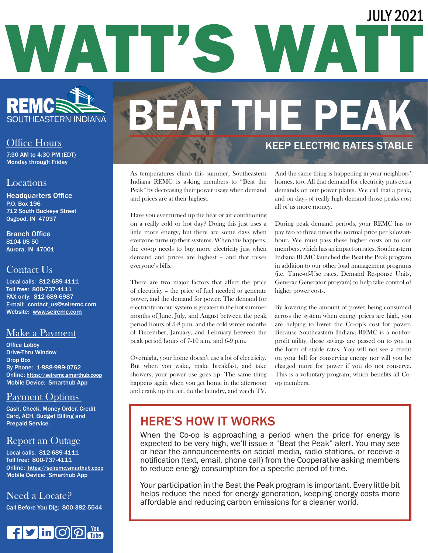# WATT'S WAT JULY 2021



#### Office Hours

7:30 AM to 4:30 PM (EDT) Monday through Friday

#### Locations

Headquarters Office P.O. Box 196 712 South Buckeye Street Osgood, IN 47037

Branch Office 8104 US 50 Aurora, IN 47001

#### Contact Us

Local calls: 812-689-4111 Toll free: 800-737-4111 FAX only: 812-689-6987 E-mail: contact\_us@seiremc.com Website: www.seiremc.com

#### Make a Payment

Office Lobby Drive-Thru Window Drop Box By Phone: 1-888-999-0762 Online: https://seiremc.smarthub.coop Mobile Device: Smarthub App

#### Payment Options

Cash, Check, Money Order, Credit Card, ACH, Budget Billing and Prepaid Service.

#### Report an Outage

Local calls: 812-689-4111 Toll free: 800-737-4111 Online: https://seiremc.smarthub.coop Mobile Device: Smarthub App

#### Need a Locate?

Call Before You Dig: 800-382-5544



## BEAT THE PEAK KEEP ELECTRIC RATES STABLE

As temperatures climb this summer, Southeastern Indiana REMC is asking members to "Beat the Peak" by decreasing their power usage when demand and prices are at their highest.

Have you ever turned up the heat or air conditioning on a really cold or hot day? Doing this just uses a little more energy, but there are some days when everyone turns up their systems. When this happens, the co-op needs to buy more electricity just when demand and prices are highest – and that raises everyone's bills.

There are two major factors that affect the price of electricity – the price of fuel needed to generate power, and the demand for power. The demand for electricity on our system is greatest in the hot summer months of June, July, and August between the peak period hours of 5-8 p.m. and the cold winter months of December, January, and February between the peak period hours of 7-10 a.m. and 6-9 p.m.

Overnight, your home doesn't use a lot of electricity. But when you wake, make breakfast, and take showers, your power use goes up. The same thing happens again when you get home in the afternoon and crank up the air, do the laundry, and watch TV.

And the same thing is happening in your neighbors' homes, too. All that demand for electricity puts extra demands on our power plants. We call that a peak, and on days of really high demand those peaks cost all of us more money.

During peak demand periods, your REMC has to pay two to three times the normal price per kilowatthour. We must pass these higher costs on to our members, which has an impact on rates. Southeastern Indiana REMC launched the Beat the Peak program in addition to our other load management programs (i.e. Time-of-Use rates, Demand Response Units, Generac Generator program) to help take control of higher power costs.

By lowering the amount of power being consumed across the system when energy prices are high, you are helping to lower the Co-op's cost for power. Because Southeastern Indiana REMC is a not-forprofit utility, those savings are passed on to you in the form of stable rates. You will not see a credit on your bill for conserving energy nor will you be charged more for power if you do not conserve. This is a voluntary program, which benefits all Coop members.

### HERE'S HOW IT WORKS

When the Co-op is approaching a period when the price for energy is expected to be very high, we'll issue a "Beat the Peak" alert. You may see or hear the announcements on social media, radio stations, or receive a notification (text, email, phone call) from the Cooperative asking members to reduce energy consumption for a specific period of time.

Your participation in the Beat the Peak program is important. Every little bit helps reduce the need for energy generation, keeping energy costs more affordable and reducing carbon emissions for a cleaner world.